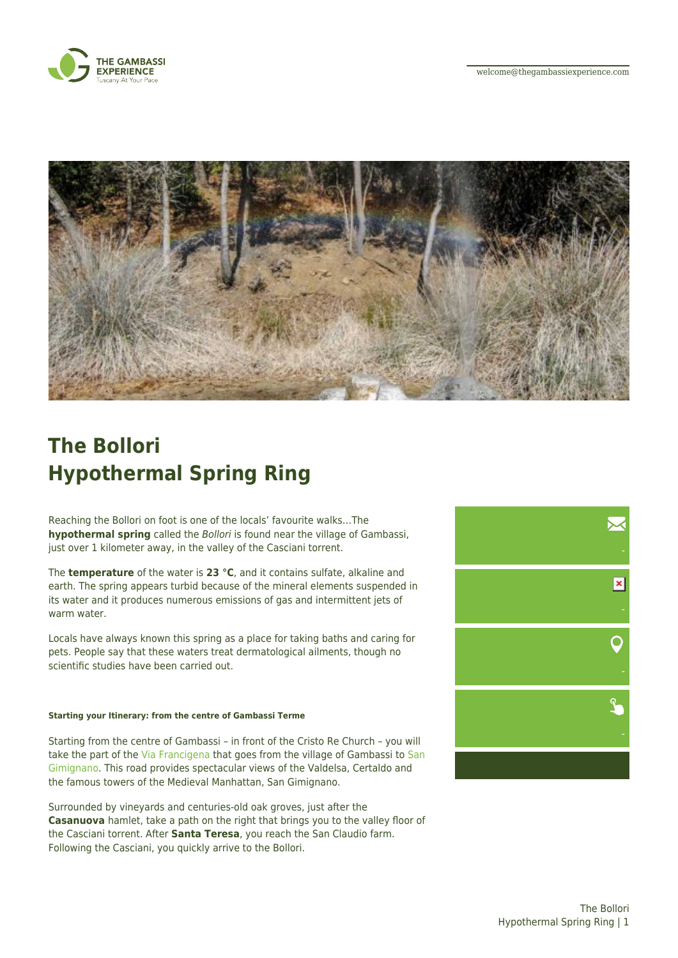



## **The Bollori Hypothermal Spring Ring**

Reaching the Bollori on foot is one of the locals' favourite walks…The **hypothermal spring** called the Bollori is found near the village of Gambassi, just over 1 kilometer away, in the valley of the Casciani torrent.

The **temperature** of the water is **23 °C**, and it contains sulfate, alkaline and earth. The spring appears turbid because of the mineral elements suspended in its water and it produces numerous emissions of gas and intermittent jets of warm water.

Locals have always known this spring as a place for taking baths and caring for pets. People say that these waters treat dermatological ailments, though no scientific studies have been carried out.

## **Starting your Itinerary: from the centre of Gambassi Terme**

Starting from the centre of Gambassi – in front of the Cristo Re Church – you will take the part of the [Via Francigena](https://thegambassiexperience.com/en/placemarks/via-francigena-2/) that goes from the village of Gambassi to [San](https://thegambassiexperience.com/en/placemarks/san-gimignano-2/) [Gimignano](https://thegambassiexperience.com/en/placemarks/san-gimignano-2/). This road provides spectacular views of the Valdelsa, Certaldo and the famous towers of the Medieval Manhattan, San Gimignano.

Surrounded by vineyards and centuries-old oak groves, just after the **Casanuova** hamlet, take a path on the right that brings you to the valley floor of the Casciani torrent. After **Santa Teresa**, you reach the San Claudio farm. Following the Casciani, you quickly arrive to the Bollori.